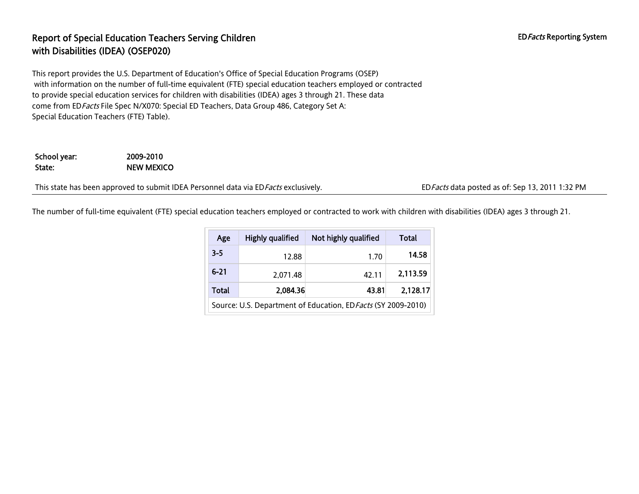### Report of Special Education Teachers Serving Children EDFacts Reporting System EDFacts Reporting System with Disabilities (IDEA) (OSEP020)

This report provides the U.S. Department of Education's Office of Special Education Programs (OSEP) with information on the number of full-time equivalent (FTE) special education teachers employed or contracted to provide special education services for children with disabilities (IDEA) ages 3 through 21. These data come from ED Facts File Spec N/X070: Special ED Teachers, Data Group 486, Category Set A: Special Education Teachers (FTE) Table).

#### School year: 2009-2010 State: NEW MEXICO

This state has been approved to submit IDEA Personnel data via ED Facts exclusively. EDFacts data posted as of: Sep 13, 2011 1:32 PM

The number of full-time equivalent (FTE) special education teachers employed or contracted to work with children with disabilities (IDEA) ages 3 through 21.

| Age                                                           | <b>Highly qualified</b> | Not highly qualified | Total    |  |
|---------------------------------------------------------------|-------------------------|----------------------|----------|--|
| $3 - 5$                                                       | 12.88                   | 1.70                 | 14.58    |  |
| $6 - 21$                                                      | 2.071.48                | 42.11                | 2,113.59 |  |
| <b>Total</b>                                                  | 2,084.36                | 43.81                | 2,128.17 |  |
| Source: U.S. Department of Education, ED Facts (SY 2009-2010) |                         |                      |          |  |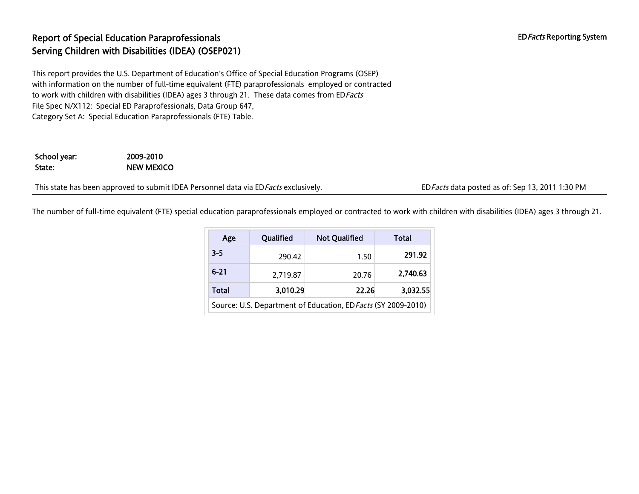# Report of Special Education Paraprofessionals **EDFacts** Reporting System Serving Children with Disabilities (IDEA) (OSEP021)

This report provides the U.S. Department of Education's Office of Special Education Programs (OSEP) with information on the number of full-time equivalent (FTE) paraprofessionals employed or contracted to work with children with disabilities (IDEA) ages 3 through 21. These data comes from ED Facts File Spec N/X112: Special ED Paraprofessionals, Data Group 647, Category Set A: Special Education Paraprofessionals (FTE) Table.

School year: 2009-2010 State: NEW MEXICO

This state has been approved to submit IDEA Personnel data via ED Facts exclusively. EDFacts data posted as of: Sep 13, 2011 1:30 PM

The number of full-time equivalent (FTE) special education paraprofessionals employed or contracted to work with children with disabilities (IDEA) ages 3 through 21.

| Age                                                           | Qualified | <b>Not Qualified</b> | Total    |  |  |
|---------------------------------------------------------------|-----------|----------------------|----------|--|--|
| $3 - 5$                                                       | 290.42    | 1.50                 | 291.92   |  |  |
| $6 - 21$                                                      | 2,719.87  | 20.76                | 2.740.63 |  |  |
| Total                                                         | 3,010.29  | 22.26                | 3,032.55 |  |  |
| Source: U.S. Department of Education, ED Facts (SY 2009-2010) |           |                      |          |  |  |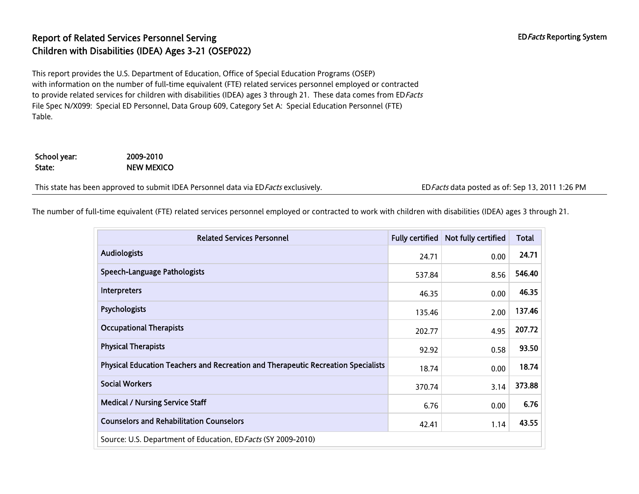# Report of Related Services Personnel Serving EDFacts Reporting System Children with Disabilities (IDEA) Ages 3-21 (OSEP022)

This report provides the U.S. Department of Education, Office of Special Education Programs (OSEP) with information on the number of full-time equivalent (FTE) related services personnel employed or contracted to provide related services for children with disabilities (IDEA) ages 3 through 21. These data comes from EDFacts File Spec N/X099: Special ED Personnel, Data Group 609, Category Set A: Special Education Personnel (FTE) Table.

School year: 2009-2010 State: NEW MEXICO

This state has been approved to submit IDEA Personnel data via ED Facts exclusively. EDFacts data posted as of: Sep 13, 2011 1:26 PM

The number of full-time equivalent (FTE) related services personnel employed or contracted to work with children with disabilities (IDEA) ages 3 through 21.

| <b>Related Services Personnel</b>                                                 | <b>Fully certified</b> | Not fully certified | <b>Total</b> |
|-----------------------------------------------------------------------------------|------------------------|---------------------|--------------|
| <b>Audiologists</b>                                                               |                        | 0.00                | 24.71        |
| <b>Speech-Language Pathologists</b>                                               |                        | 8.56                | 546.40       |
| <b>Interpreters</b>                                                               | 46.35                  | 0.00                | 46.35        |
| Psychologists                                                                     | 135.46                 | 2.00                | 137.46       |
| <b>Occupational Therapists</b>                                                    | 202.77                 | 4.95                | 207.72       |
| <b>Physical Therapists</b>                                                        | 92.92                  | 0.58                | 93.50        |
| Physical Education Teachers and Recreation and Therapeutic Recreation Specialists | 18.74                  | 0.00                | 18.74        |
| <b>Social Workers</b>                                                             | 370.74                 | 3.14                | 373.88       |
| <b>Medical / Nursing Service Staff</b>                                            | 6.76                   | 0.00                | 6.76         |
| <b>Counselors and Rehabilitation Counselors</b>                                   | 42.41                  | 1.14                | 43.55        |
| Source: U.S. Department of Education, ED Facts (SY 2009-2010)                     |                        |                     |              |